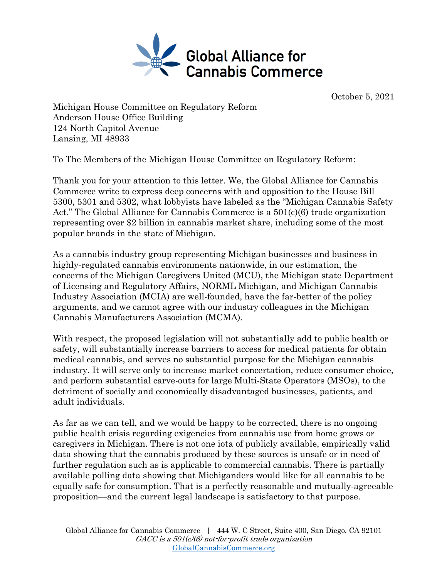

October 5, 2021

Michigan House Committee on Regulatory Reform Anderson House Office Building 124 North Capitol Avenue Lansing, MI 48933

To The Members of the Michigan House Committee on Regulatory Reform:

Thank you for your attention to this letter. We, the Global Alliance for Cannabis Commerce write to express deep concerns with and opposition to the House Bill 5300, 5301 and 5302, what lobbyists have labeled as the "Michigan Cannabis Safety Act." The Global Alliance for Cannabis Commerce is a 501(c)(6) trade organization representing over \$2 billion in cannabis market share, including some of the most popular brands in the state of Michigan.

As a cannabis industry group representing Michigan businesses and business in highly-regulated cannabis environments nationwide, in our estimation, the concerns of the Michigan Caregivers United (MCU), the Michigan state Department of Licensing and Regulatory Affairs, NORML Michigan, and Michigan Cannabis Industry Association (MCIA) are well-founded, have the far-better of the policy arguments, and we cannot agree with our industry colleagues in the Michigan Cannabis Manufacturers Association (MCMA).

With respect, the proposed legislation will not substantially add to public health or safety, will substantially increase barriers to access for medical patients for obtain medical cannabis, and serves no substantial purpose for the Michigan cannabis industry. It will serve only to increase market concertation, reduce consumer choice, and perform substantial carve-outs for large Multi-State Operators (MSOs), to the detriment of socially and economically disadvantaged businesses, patients, and adult individuals.

As far as we can tell, and we would be happy to be corrected, there is no ongoing public health crisis regarding exigencies from cannabis use from home grows or caregivers in Michigan. There is not one iota of publicly available, empirically valid data showing that the cannabis produced by these sources is unsafe or in need of further regulation such as is applicable to commercial cannabis. There is partially available polling data showing that Michiganders would like for all cannabis to be equally safe for consumption. That is a perfectly reasonable and mutually-agreeable proposition—and the current legal landscape is satisfactory to that purpose.